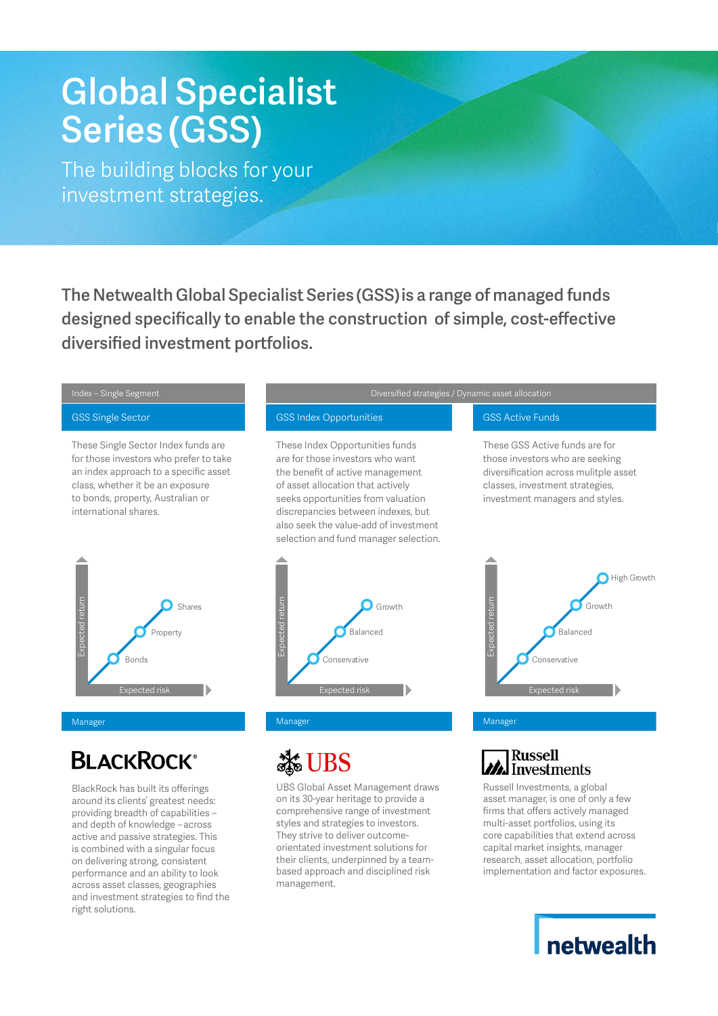# **Global Specialist Series (GSS)**

The building blocks for your investment strategies.

**The Netwealth Global Specialist Series (GSS) is a range of managed funds designed specifically to enable the construction of simple, cost-effective diversified investment portfolios.**



### **BLACKROCK®**

BlackRock has built its offerings around its clients' greatest needs: providing breadth of capabilities – and depth of knowledge - across active and passive strategies. This is combined with a singular focus on delivering strong, consistent performance and an ability to look across asset classes, geographies and investment strategies to find the right solutions.

UBS Global Asset Management draws on its 30-year heritage to provide a comprehensive range of investment styles and strategies to investors. They strive to deliver outcomeorientated investment solutions for their clients, underpinned by a teambased approach and disciplined risk management.

#### **Russell A** Investments

Russell Investments, a global asset manager, is one of only a few firms that offers actively managed multi-asset portfolios, using its core capabilities that extend across capital market insights, manager research, asset allocation, portfolio implementation and factor exposures.